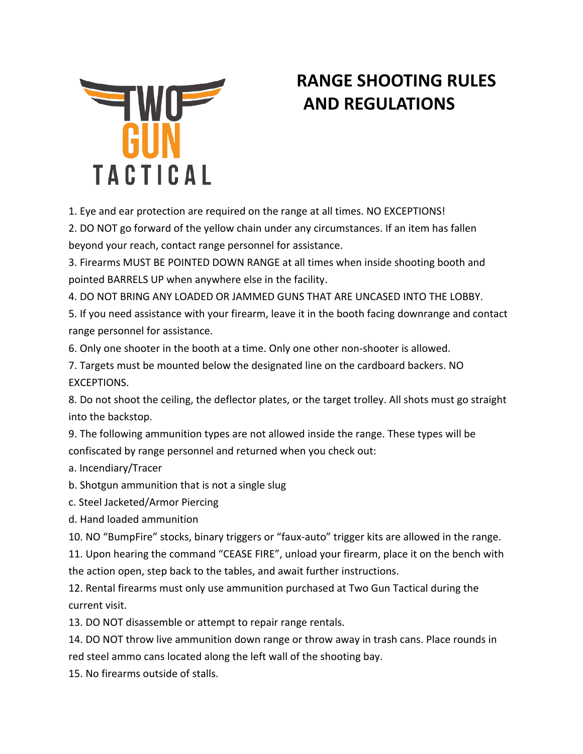

## **RANGE SHOOTING RULES AND REGULATIONS**

1. Eye and ear protection are required on the range at all times. NO EXCEPTIONS!

2. DO NOT go forward of the yellow chain under any circumstances. If an item has fallen beyond your reach, contact range personnel for assistance.

3. Firearms MUST BE POINTED DOWN RANGE at all times when inside shooting booth and pointed BARRELS UP when anywhere else in the facility.

4. DO NOT BRING ANY LOADED OR JAMMED GUNS THAT ARE UNCASED INTO THE LOBBY.

5. If you need assistance with your firearm, leave it in the booth facing downrange and contact range personnel for assistance.

6. Only one shooter in the booth at a time. Only one other non-shooter is allowed.

7. Targets must be mounted below the designated line on the cardboard backers. NO EXCEPTIONS.

8. Do not shoot the ceiling, the deflector plates, or the target trolley. All shots must go straight into the backstop.

9. The following ammunition types are not allowed inside the range. These types will be confiscated by range personnel and returned when you check out:

a. Incendiary/Tracer

b. Shotgun ammunition that is not a single slug

c. Steel Jacketed/Armor Piercing

d. Hand loaded ammunition

10. NO "BumpFire" stocks, binary triggers or "faux-auto" trigger kits are allowed in the range.

11. Upon hearing the command "CEASE FIRE", unload your firearm, place it on the bench with the action open, step back to the tables, and await further instructions.

12. Rental firearms must only use ammunition purchased at Two Gun Tactical during the current visit.

13. DO NOT disassemble or attempt to repair range rentals.

14. DO NOT throw live ammunition down range or throw away in trash cans. Place rounds in red steel ammo cans located along the left wall of the shooting bay.

15. No firearms outside of stalls.